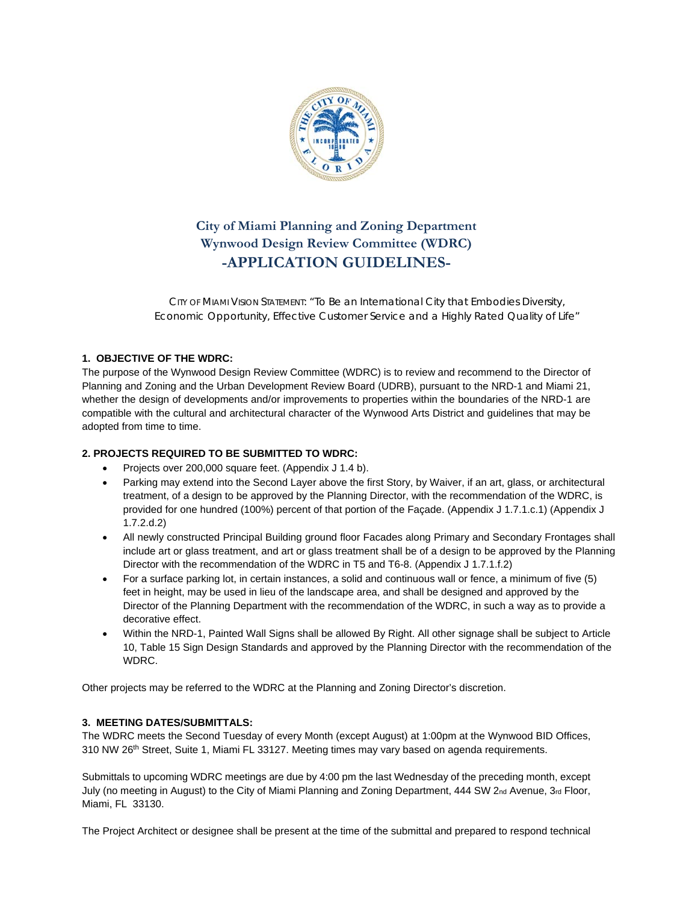

# **City of Miami Planning and Zoning Department Wynwood Design Review Committee (WDRC) -APPLICATION GUIDELINES-**

CITY OF MIAMI VISION STATEMENT: *"To Be an International City that Embodies Diversity, Economic Opportunity, Effective Customer Service and a Highly Rated Quality of Life"* 

## **1. OBJECTIVE OF THE WDRC:**

The purpose of the Wynwood Design Review Committee (WDRC) is to review and recommend to the Director of Planning and Zoning and the Urban Development Review Board (UDRB), pursuant to the NRD-1 and Miami 21, whether the design of developments and/or improvements to properties within the boundaries of the NRD-1 are compatible with the cultural and architectural character of the Wynwood Arts District and guidelines that may be adopted from time to time.

#### **2. PROJECTS REQUIRED TO BE SUBMITTED TO WDRC:**

- Projects over 200,000 square feet. (Appendix J 1.4 b).
- Parking may extend into the Second Layer above the first Story, by Waiver, if an art, glass, or architectural treatment, of a design to be approved by the Planning Director, with the recommendation of the WDRC, is provided for one hundred (100%) percent of that portion of the Façade. (Appendix J 1.7.1.c.1) (Appendix J 1.7.2.d.2)
- All newly constructed Principal Building ground floor Facades along Primary and Secondary Frontages shall include art or glass treatment, and art or glass treatment shall be of a design to be approved by the Planning Director with the recommendation of the WDRC in T5 and T6-8. (Appendix J 1.7.1.f.2)
- For a surface parking lot, in certain instances, a solid and continuous wall or fence, a minimum of five (5) feet in height, may be used in lieu of the landscape area, and shall be designed and approved by the Director of the Planning Department with the recommendation of the WDRC, in such a way as to provide a decorative effect.
- Within the NRD-1, Painted Wall Signs shall be allowed By Right. All other signage shall be subject to Article 10, Table 15 Sign Design Standards and approved by the Planning Director with the recommendation of the WDRC.

Other projects may be referred to the WDRC at the Planning and Zoning Director's discretion.

## **3. MEETING DATES/SUBMITTALS:**

The WDRC meets the Second Tuesday of every Month (except August) at 1:00pm at the Wynwood BID Offices, 310 NW 26th Street, Suite 1, Miami FL 33127. Meeting times may vary based on agenda requirements.

Submittals to upcoming WDRC meetings are due by 4:00 pm the last Wednesday of the preceding month, except July (no meeting in August) to the City of Miami Planning and Zoning Department, 444 SW 2nd Avenue, 3rd Floor, Miami, FL 33130.

The Project Architect or designee shall be present at the time of the submittal and prepared to respond technical